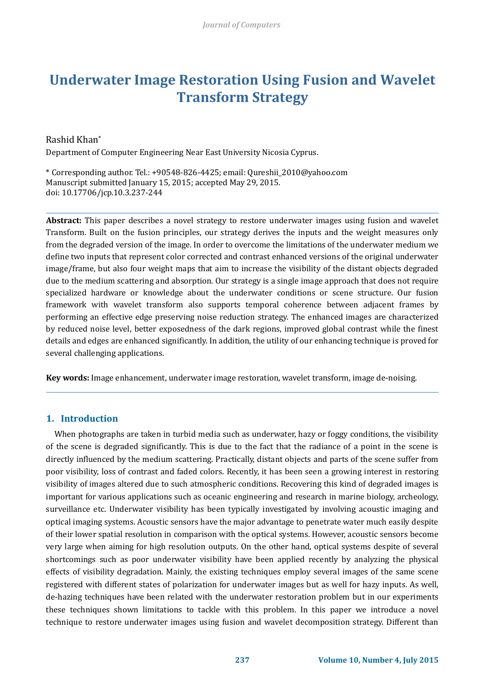# **Underwater Image Restoration Using Fusion and Wavelet Transform Strategy**

## Rashid Khan\*

Department of Computer Engineering Near East University Nicosia Cyprus.

\* Corresponding author. Tel.: +90548-826-4425; email: Qureshii\_2010@yahoo.com Manuscript submitted January 15, 2015; accepted May 29, 2015. doi: 10.17706/jcp.10.3.237-244

**Abstract:** This paper describes a novel strategy to restore underwater images using fusion and wavelet Transform. Built on the fusion principles, our strategy derives the inputs and the weight measures only from the degraded version of the image. In order to overcome the limitations of the underwater medium we define two inputs that represent color corrected and contrast enhanced versions of the original underwater image/frame, but also four weight maps that aim to increase the visibility of the distant objects degraded due to the medium scattering and absorption. Our strategy is a single image approach that does not require specialized hardware or knowledge about the underwater conditions or scene structure. Our fusion framework with wavelet transform also supports temporal coherence between adjacent frames by performing an effective edge preserving noise reduction strategy. The enhanced images are characterized by reduced noise level, better exposedness of the dark regions, improved global contrast while the finest details and edges are enhanced significantly. In addition, the utility of our enhancing technique is proved for several challenging applications.

**Key words:** Image enhancement, underwater image restoration, wavelet transform, image de-noising.

## **1. Introduction**

When photographs are taken in turbid media such as underwater, hazy or foggy conditions, the visibility of the scene is degraded significantly. This is due to the fact that the radiance of a point in the scene is directly influenced by the medium scattering. Practically, distant objects and parts of the scene suffer from poor visibility, loss of contrast and faded colors. Recently, it has been seen a growing interest in restoring visibility of images altered due to such atmospheric conditions. Recovering this kind of degraded images is important for various applications such as oceanic engineering and research in marine biology, archeology, surveillance etc. Underwater visibility has been typically investigated by involving acoustic imaging and optical imaging systems. Acoustic sensors have the major advantage to penetrate water much easily despite of their lower spatial resolution in comparison with the optical systems. However, acoustic sensors become very large when aiming for high resolution outputs. On the other hand, optical systems despite of several shortcomings such as poor underwater visibility have been applied recently by analyzing the physical effects of visibility degradation. Mainly, the existing techniques employ several images of the same scene registered with different states of polarization for underwater images but as well for hazy inputs. As well, de-hazing techniques have been related with the underwater restoration problem but in our experiments these techniques shown limitations to tackle with this problem. In this paper we introduce a novel technique to restore underwater images using fusion and wavelet decomposition strategy. Different than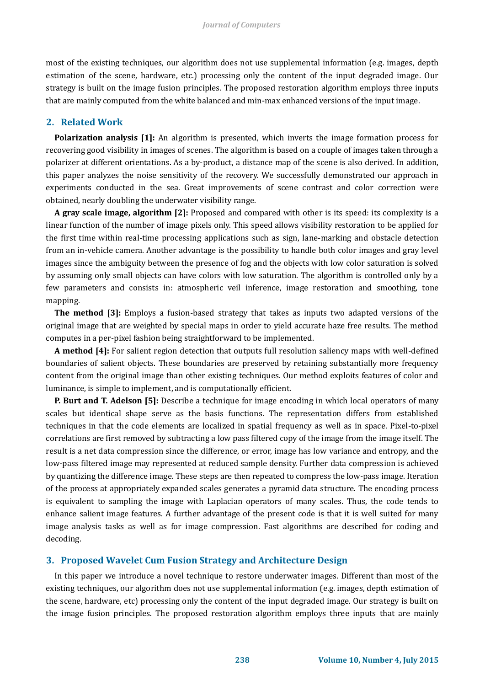most of the existing techniques, our algorithm does not use supplemental information (e.g. images, depth estimation of the scene, hardware, etc.) processing only the content of the input degraded image. Our strategy is built on the image fusion principles. The proposed restoration algorithm employs three inputs that are mainly computed from the white balanced and min-max enhanced versions of the input image.

## **2. Related Work**

**Polarization analysis [1]:** An algorithm is presented, which inverts the image formation process for recovering good visibility in images of scenes. The algorithm is based on a couple of images taken through a polarizer at different orientations. As a by-product, a distance map of the scene is also derived. In addition, this paper analyzes the noise sensitivity of the recovery. We successfully demonstrated our approach in experiments conducted in the sea. Great improvements of scene contrast and color correction were obtained, nearly doubling the underwater visibility range.

**A gray scale image, algorithm [2]:** Proposed and compared with other is its speed: its complexity is a linear function of the number of image pixels only. This speed allows visibility restoration to be applied for the first time within real-time processing applications such as sign, lane-marking and obstacle detection from an in-vehicle camera. Another advantage is the possibility to handle both color images and gray level images since the ambiguity between the presence of fog and the objects with low color saturation is solved by assuming only small objects can have colors with low saturation. The algorithm is controlled only by a few parameters and consists in: atmospheric veil inference, image restoration and smoothing, tone mapping.

**The method [3]:** Employs a fusion-based strategy that takes as inputs two adapted versions of the original image that are weighted by special maps in order to yield accurate haze free results. The method computes in a per-pixel fashion being straightforward to be implemented.

**A method [4]:** For salient region detection that outputs full resolution saliency maps with well-defined boundaries of salient objects. These boundaries are preserved by retaining substantially more frequency content from the original image than other existing techniques. Our method exploits features of color and luminance, is simple to implement, and is computationally efficient.

**P. Burt and T. Adelson [5]:** Describe a technique for image encoding in which local operators of many scales but identical shape serve as the basis functions. The representation differs from established techniques in that the code elements are localized in spatial frequency as well as in space. Pixel-to-pixel correlations are first removed by subtracting a low pass filtered copy of the image from the image itself. The result is a net data compression since the difference, or error, image has low variance and entropy, and the low-pass filtered image may represented at reduced sample density. Further data compression is achieved by quantizing the difference image. These steps are then repeated to compress the low-pass image. Iteration of the process at appropriately expanded scales generates a pyramid data structure. The encoding process is equivalent to sampling the image with Laplacian operators of many scales. Thus, the code tends to enhance salient image features. A further advantage of the present code is that it is well suited for many image analysis tasks as well as for image compression. Fast algorithms are described for coding and decoding.

## **3. Proposed Wavelet Cum Fusion Strategy and Architecture Design**

In this paper we introduce a novel technique to restore underwater images. Different than most of the existing techniques, our algorithm does not use supplemental information (e.g. images, depth estimation of the scene, hardware, etc) processing only the content of the input degraded image. Our strategy is built on the image fusion principles. The proposed restoration algorithm employs three inputs that are mainly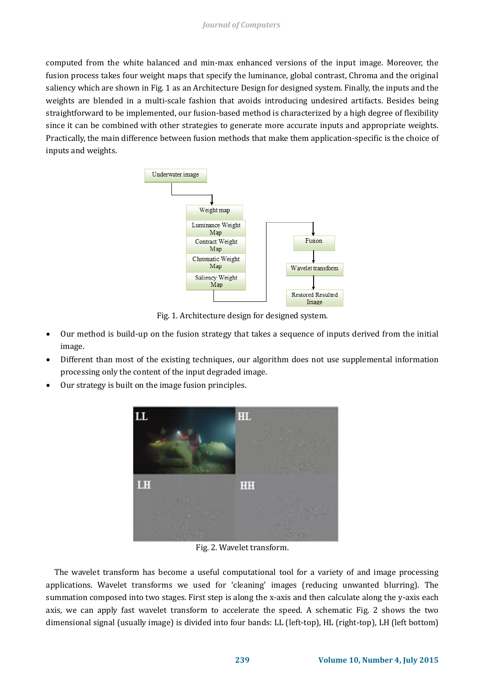computed from the white balanced and min-max enhanced versions of the input image. Moreover, the fusion process takes four weight maps that specify the luminance, global contrast, Chroma and the original saliency which are shown in Fig. 1 as an Architecture Design for designed system. Finally, the inputs and the weights are blended in a multi-scale fashion that avoids introducing undesired artifacts. Besides being straightforward to be implemented, our fusion-based method is characterized by a high degree of flexibility since it can be combined with other strategies to generate more accurate inputs and appropriate weights. Practically, the main difference between fusion methods that make them application-specific is the choice of inputs and weights.



Fig. 1. Architecture design for designed system.

- Our method is build-up on the fusion strategy that takes a sequence of inputs derived from the initial image.
- Different than most of the existing techniques, our algorithm does not use supplemental information processing only the content of the input degraded image.
- Our strategy is built on the image fusion principles.



Fig. 2. Wavelet transform.

The wavelet transform has become a useful computational tool for a variety of and image processing applications. Wavelet transforms we used for 'cleaning' images (reducing unwanted blurring). The summation composed into two stages. First step is along the x-axis and then calculate along the y-axis each axis, we can apply fast wavelet transform to accelerate the speed. A schematic Fig. 2 shows the two dimensional signal (usually image) is divided into four bands: LL (left-top), HL (right-top), LH (left bottom)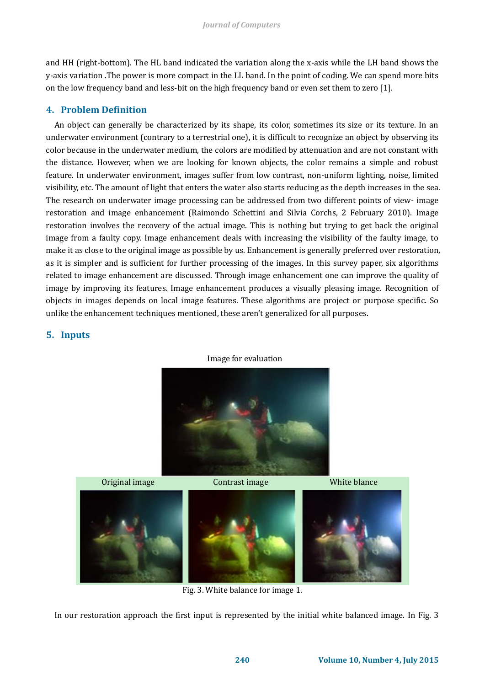and HH (right-bottom). The HL band indicated the variation along the x-axis while the LH band shows the y-axis variation .The power is more compact in the LL band. In the point of coding. We can spend more bits on the low frequency band and less-bit on the high frequency band or even set them to zero [1].

# **4. Problem Definition**

An object can generally be characterized by its shape, its color, sometimes its size or its texture. In an underwater environment (contrary to a terrestrial one), it is difficult to recognize an object by observing its color because in the underwater medium, the colors are modified by attenuation and are not constant with the distance. However, when we are looking for known objects, the color remains a simple and robust feature. In underwater environment, images suffer from low contrast, non-uniform lighting, noise, limited visibility, etc. The amount of light that enters the water also starts reducing as the depth increases in the sea. The research on underwater image processing can be addressed from two different points of view- image restoration and image enhancement (Raimondo Schettini and Silvia Corchs, 2 February 2010). Image restoration involves the recovery of the actual image. This is nothing but trying to get back the original image from a faulty copy. Image enhancement deals with increasing the visibility of the faulty image, to make it as close to the original image as possible by us. Enhancement is generally preferred over restoration, as it is simpler and is sufficient for further processing of the images. In this survey paper, six algorithms related to image enhancement are discussed. Through image enhancement one can improve the quality of image by improving its features. Image enhancement produces a visually pleasing image. Recognition of objects in images depends on local image features. These algorithms are project or purpose specific. So unlike the enhancement techniques mentioned, these aren't generalized for all purposes.

## **5. Inputs**



Original image Contrast image White blance

Fig. 3. White balance for image 1.

In our restoration approach the first input is represented by the initial white balanced image. In Fig. 3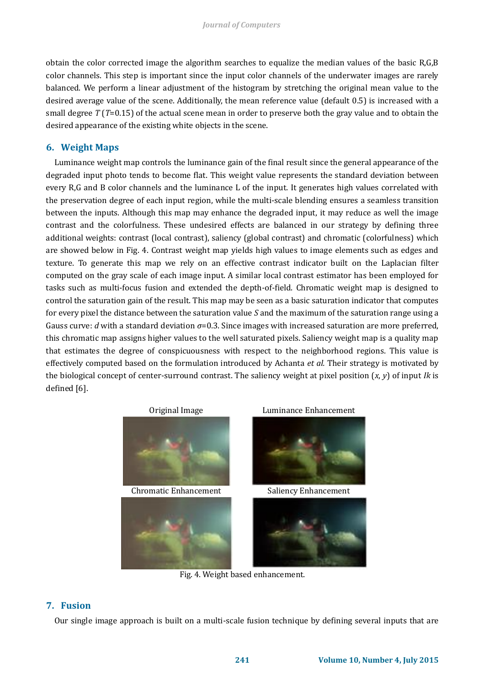obtain the color corrected image the algorithm searches to equalize the median values of the basic R,G,B color channels. This step is important since the input color channels of the underwater images are rarely balanced. We perform a linear adjustment of the histogram by stretching the original mean value to the desired average value of the scene. Additionally, the mean reference value (default 0.5) is increased with a small degree *T* (*T*=0.15) of the actual scene mean in order to preserve both the gray value and to obtain the desired appearance of the existing white objects in the scene.

## **6. Weight Maps**

Luminance weight map controls the luminance gain of the final result since the general appearance of the degraded input photo tends to become flat. This weight value represents the standard deviation between every R,G and B color channels and the luminance L of the input. It generates high values correlated with the preservation degree of each input region, while the multi-scale blending ensures a seamless transition between the inputs. Although this map may enhance the degraded input, it may reduce as well the image contrast and the colorfulness. These undesired effects are balanced in our strategy by defining three additional weights: contrast (local contrast), saliency (global contrast) and chromatic (colorfulness) which are showed below in Fig. 4. Contrast weight map yields high values to image elements such as edges and texture. To generate this map we rely on an effective contrast indicator built on the Laplacian filter computed on the gray scale of each image input. A similar local contrast estimator has been employed for tasks such as multi-focus fusion and extended the depth-of-field. Chromatic weight map is designed to control the saturation gain of the result. This map may be seen as a basic saturation indicator that computes for every pixel the distance between the saturation value *S* and the maximum of the saturation range using a Gauss curve: *d* with a standard deviation *σ*=0.3. Since images with increased saturation are more preferred, this chromatic map assigns higher values to the well saturated pixels. Saliency weight map is a quality map that estimates the degree of conspicuousness with respect to the neighborhood regions. This value is effectively computed based on the formulation introduced by Achanta *et al.* Their strategy is motivated by the biological concept of center-surround contrast. The saliency weight at pixel position (*x*, *y*) of input *Ik* is defined [6].



Fig. 4. Weight based enhancement.

## **7. Fusion**

Our single image approach is built on a multi-scale fusion technique by defining several inputs that are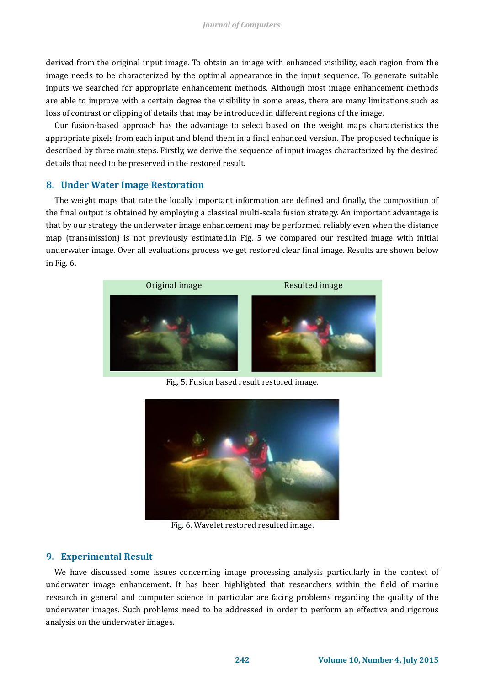derived from the original input image. To obtain an image with enhanced visibility, each region from the image needs to be characterized by the optimal appearance in the input sequence. To generate suitable inputs we searched for appropriate enhancement methods. Although most image enhancement methods are able to improve with a certain degree the visibility in some areas, there are many limitations such as loss of contrast or clipping of details that may be introduced in different regions of the image.

Our fusion-based approach has the advantage to select based on the weight maps characteristics the appropriate pixels from each input and blend them in a final enhanced version. The proposed technique is described by three main steps. Firstly, we derive the sequence of input images characterized by the desired details that need to be preserved in the restored result.

#### **8. Under Water Image Restoration**

The weight maps that rate the locally important information are defined and finally, the composition of the final output is obtained by employing a classical multi-scale fusion strategy. An important advantage is that by our strategy the underwater image enhancement may be performed reliably even when the distance map (transmission) is not previously estimated.in Fig. 5 we compared our resulted image with initial underwater image. Over all evaluations process we get restored clear final image. Results are shown below in Fig. 6.



Fig. 5. Fusion based result restored image.



Fig. 6. Wavelet restored resulted image.

#### **9. Experimental Result**

We have discussed some issues concerning image processing analysis particularly in the context of underwater image enhancement. It has been highlighted that researchers within the field of marine research in general and computer science in particular are facing problems regarding the quality of the underwater images. Such problems need to be addressed in order to perform an effective and rigorous analysis on the underwater images.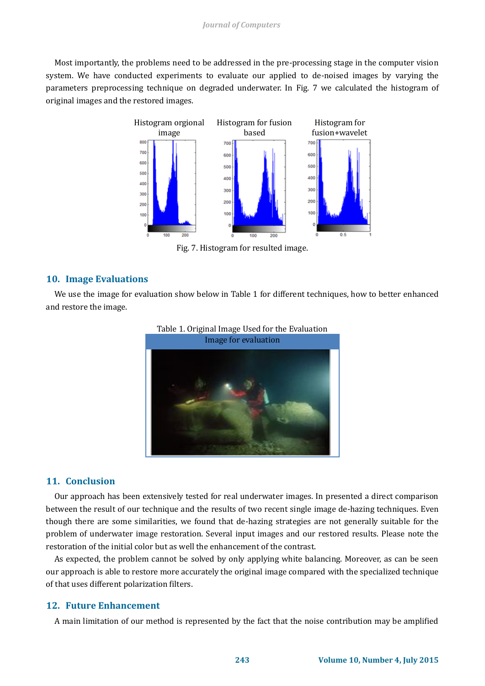#### *Journal of Computers*

Most importantly, the problems need to be addressed in the pre-processing stage in the computer vision system. We have conducted experiments to evaluate our applied to de-noised images by varying the parameters preprocessing technique on degraded underwater. In Fig. 7 we calculated the histogram of original images and the restored images.



Fig. 7. Histogram for resulted image.

## **10. Image Evaluations**

We use the image for evaluation show below in Table 1 for different techniques, how to better enhanced and restore the image.





## **11. Conclusion**

Our approach has been extensively tested for real underwater images. In presented a direct comparison between the result of our technique and the results of two recent single image de-hazing techniques. Even though there are some similarities, we found that de-hazing strategies are not generally suitable for the problem of underwater image restoration. Several input images and our restored results. Please note the restoration of the initial color but as well the enhancement of the contrast.

As expected, the problem cannot be solved by only applying white balancing. Moreover, as can be seen our approach is able to restore more accurately the original image compared with the specialized technique of that uses different polarization filters.

## **12. Future Enhancement**

A main limitation of our method is represented by the fact that the noise contribution may be amplified